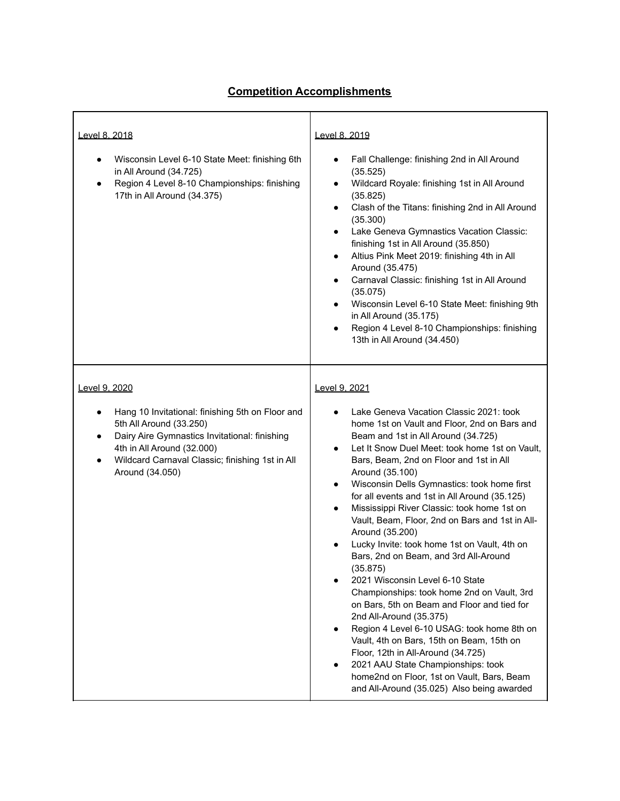## **Competition Accomplishments**

| Level 8, 2018<br>Wisconsin Level 6-10 State Meet: finishing 6th<br>in All Around (34.725)<br>Region 4 Level 8-10 Championships: finishing<br>17th in All Around (34.375)                                                                                    | Level 8, 2019<br>Fall Challenge: finishing 2nd in All Around<br>$\bullet$<br>(35.525)<br>Wildcard Royale: finishing 1st in All Around<br>$\bullet$<br>(35.825)<br>Clash of the Titans: finishing 2nd in All Around<br>$\bullet$<br>(35.300)<br>Lake Geneva Gymnastics Vacation Classic:<br>$\bullet$<br>finishing 1st in All Around (35.850)<br>Altius Pink Meet 2019: finishing 4th in All<br>$\bullet$<br>Around (35.475)<br>Carnaval Classic: finishing 1st in All Around<br>$\bullet$<br>(35.075)<br>Wisconsin Level 6-10 State Meet: finishing 9th<br>٠<br>in All Around (35.175)<br>Region 4 Level 8-10 Championships: finishing<br>$\bullet$<br>13th in All Around (34.450)                                                                                                                                                                                                                                                                                                                                                                     |
|-------------------------------------------------------------------------------------------------------------------------------------------------------------------------------------------------------------------------------------------------------------|--------------------------------------------------------------------------------------------------------------------------------------------------------------------------------------------------------------------------------------------------------------------------------------------------------------------------------------------------------------------------------------------------------------------------------------------------------------------------------------------------------------------------------------------------------------------------------------------------------------------------------------------------------------------------------------------------------------------------------------------------------------------------------------------------------------------------------------------------------------------------------------------------------------------------------------------------------------------------------------------------------------------------------------------------------|
| Level 9, 2020<br>Hang 10 Invitational: finishing 5th on Floor and<br>٠<br>5th All Around (33.250)<br>Dairy Aire Gymnastics Invitational: finishing<br>٠<br>4th in All Around (32.000)<br>Wildcard Carnaval Classic; finishing 1st in All<br>Around (34.050) | Level 9, 2021<br>Lake Geneva Vacation Classic 2021: took<br>home 1st on Vault and Floor, 2nd on Bars and<br>Beam and 1st in All Around (34.725)<br>Let It Snow Duel Meet: took home 1st on Vault,<br>$\bullet$<br>Bars, Beam, 2nd on Floor and 1st in All<br>Around (35.100)<br>Wisconsin Dells Gymnastics: took home first<br>٠<br>for all events and 1st in All Around (35.125)<br>Mississippi River Classic: took home 1st on<br>$\bullet$<br>Vault, Beam, Floor, 2nd on Bars and 1st in All-<br>Around (35.200)<br>Lucky Invite: took home 1st on Vault, 4th on<br>Bars, 2nd on Beam, and 3rd All-Around<br>(35.875)<br>2021 Wisconsin Level 6-10 State<br>Championships: took home 2nd on Vault, 3rd<br>on Bars, 5th on Beam and Floor and tied for<br>2nd All-Around (35.375)<br>Region 4 Level 6-10 USAG: took home 8th on<br>Vault, 4th on Bars, 15th on Beam, 15th on<br>Floor, 12th in All-Around (34.725)<br>2021 AAU State Championships: took<br>home2nd on Floor, 1st on Vault, Bars, Beam<br>and All-Around (35.025) Also being awarded |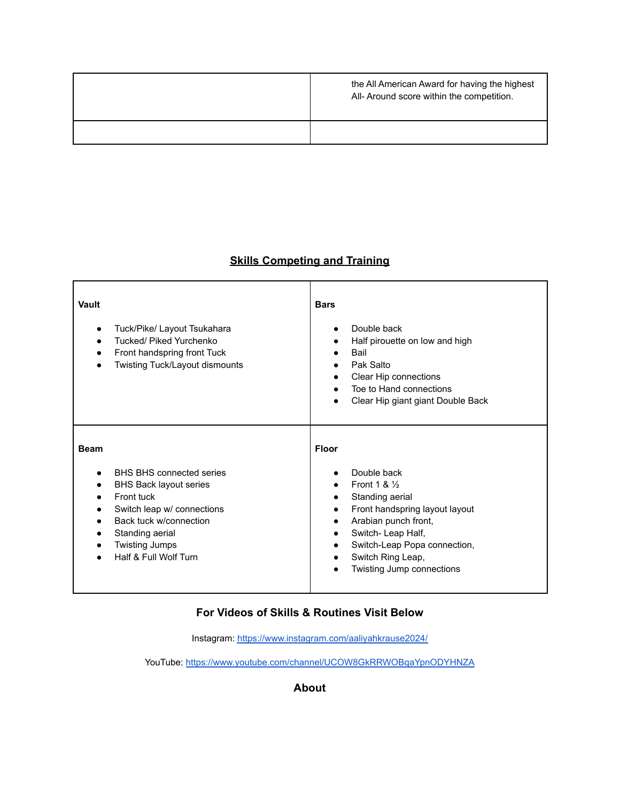| the All American Award for having the highest<br>All- Around score within the competition. |
|--------------------------------------------------------------------------------------------|
|                                                                                            |

## **Skills Competing and Training**

| Vault<br>Tuck/Pike/ Layout Tsukahara<br>Tucked/ Piked Yurchenko<br>Front handspring front Tuck<br>Twisting Tuck/Layout dismounts                                                                                           | <b>Bars</b><br>Double back<br>$\bullet$<br>Half pirouette on low and high<br>٠<br><b>Bail</b><br>$\bullet$<br>Pak Salto<br>$\bullet$<br>Clear Hip connections<br>$\bullet$<br>Toe to Hand connections<br>Clear Hip giant giant Double Back                                                              |
|----------------------------------------------------------------------------------------------------------------------------------------------------------------------------------------------------------------------------|---------------------------------------------------------------------------------------------------------------------------------------------------------------------------------------------------------------------------------------------------------------------------------------------------------|
| <b>Beam</b><br><b>BHS BHS connected series</b><br><b>BHS Back layout series</b><br>Front tuck<br>Switch leap w/ connections<br>Back tuck w/connection<br>Standing aerial<br><b>Twisting Jumps</b><br>Half & Full Wolf Turn | <b>Floor</b><br>Double back<br>Front 1 & $\frac{1}{2}$<br>$\bullet$<br>Standing aerial<br>$\bullet$<br>Front handspring layout layout<br>$\bullet$<br>Arabian punch front,<br>٠<br>Switch-Leap Half,<br>٠<br>Switch-Leap Popa connection,<br>٠<br>Switch Ring Leap,<br><b>Twisting Jump connections</b> |

## **For Videos of Skills & Routines Visit Below**

Instagram: <https://www.instagram.com/aaliyahkrause2024/>

YouTube: <https://www.youtube.com/channel/UCOW8GkRRWOBqaYpnODYHNZA>

## **About**